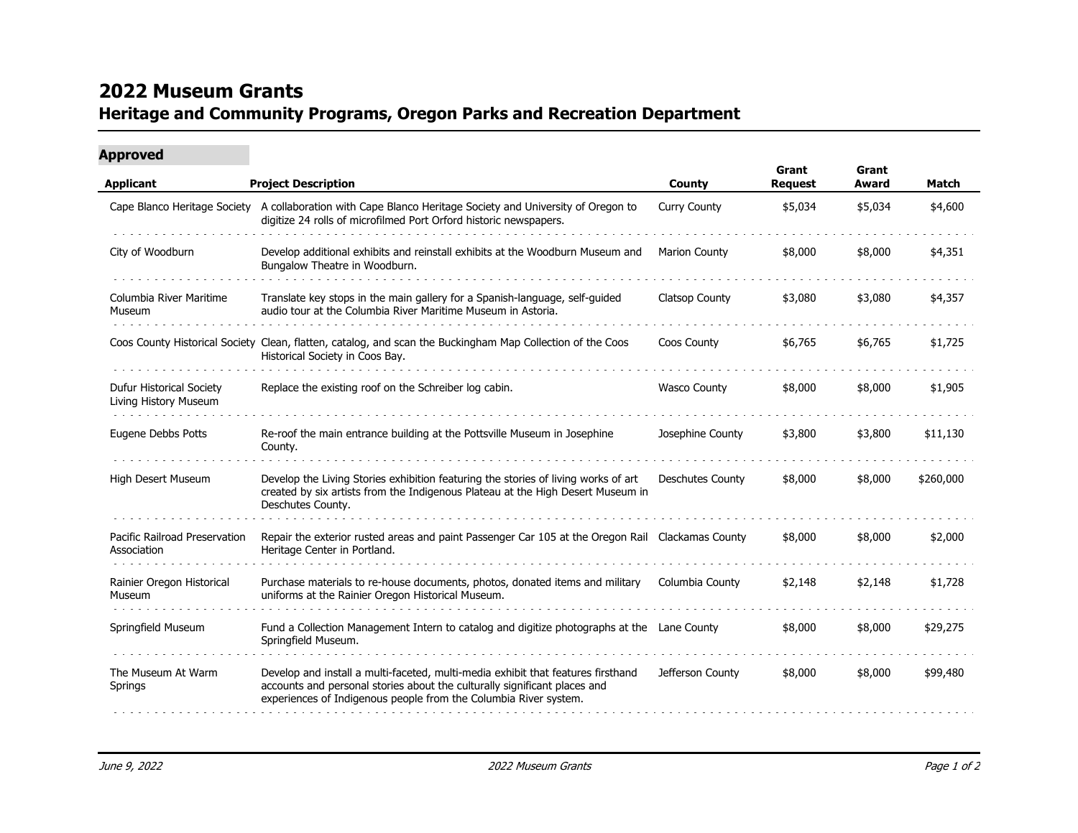## **2022 Museum Grants Heritage and Community Programs, Oregon Parks and Recreation Department**

## **Approved**

| <b>Applicant</b>                                  | <b>Project Description</b>                                                                                                                                                                                                        | County                  | Grant<br><b>Request</b> | Grant<br>Award | Match     |
|---------------------------------------------------|-----------------------------------------------------------------------------------------------------------------------------------------------------------------------------------------------------------------------------------|-------------------------|-------------------------|----------------|-----------|
|                                                   | Cape Blanco Heritage Society A collaboration with Cape Blanco Heritage Society and University of Oregon to<br>digitize 24 rolls of microfilmed Port Orford historic newspapers.                                                   | <b>Curry County</b>     | \$5,034                 | \$5,034        | \$4,600   |
| City of Woodburn                                  | Develop additional exhibits and reinstall exhibits at the Woodburn Museum and<br>Bungalow Theatre in Woodburn.                                                                                                                    | <b>Marion County</b>    | \$8,000                 | \$8,000        | \$4,351   |
| Columbia River Maritime<br>Museum                 | Translate key stops in the main gallery for a Spanish-language, self-guided<br>audio tour at the Columbia River Maritime Museum in Astoria.                                                                                       | <b>Clatsop County</b>   | \$3,080                 | \$3,080        | \$4,357   |
|                                                   | Coos County Historical Society Clean, flatten, catalog, and scan the Buckingham Map Collection of the Coos<br>Historical Society in Coos Bay.                                                                                     | Coos County             | \$6,765                 | \$6,765        | \$1,725   |
| Dufur Historical Society<br>Living History Museum | Replace the existing roof on the Schreiber log cabin.                                                                                                                                                                             | <b>Wasco County</b>     | \$8,000                 | \$8,000        | \$1,905   |
| Eugene Debbs Potts                                | Re-roof the main entrance building at the Pottsville Museum in Josephine<br>County.                                                                                                                                               | Josephine County        | \$3,800                 | \$3,800        | \$11,130  |
| High Desert Museum                                | Develop the Living Stories exhibition featuring the stories of living works of art<br>created by six artists from the Indigenous Plateau at the High Desert Museum in<br>Deschutes County.                                        | <b>Deschutes County</b> | \$8,000                 | \$8,000        | \$260,000 |
| Pacific Railroad Preservation<br>Association      | Repair the exterior rusted areas and paint Passenger Car 105 at the Oregon Rail Clackamas County<br>Heritage Center in Portland.                                                                                                  |                         | \$8,000                 | \$8,000        | \$2,000   |
| Rainier Oregon Historical<br>Museum               | Purchase materials to re-house documents, photos, donated items and military<br>uniforms at the Rainier Oregon Historical Museum.                                                                                                 | Columbia County         | \$2,148                 | \$2,148        | \$1,728   |
| Springfield Museum                                | Fund a Collection Management Intern to catalog and digitize photographs at the Lane County<br>Springfield Museum.                                                                                                                 |                         | \$8,000                 | \$8,000        | \$29,275  |
| The Museum At Warm<br>Springs                     | Develop and install a multi-faceted, multi-media exhibit that features firsthand<br>accounts and personal stories about the culturally significant places and<br>experiences of Indigenous people from the Columbia River system. | Jefferson County        | \$8,000                 | \$8,000        | \$99,480  |